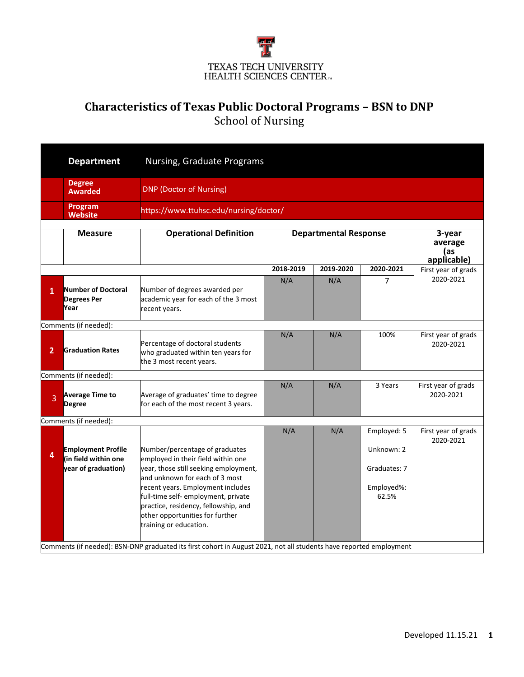

## **Characteristics of Texas Public Doctoral Programs – BSN to DNP** School of Nursing

|                | <b>Department</b>                                                        | Nursing, Graduate Programs                                                                                                                                                                                                                                                                                                                                                                                                                             |                                                                         |           |                                                                  |                                  |  |  |
|----------------|--------------------------------------------------------------------------|--------------------------------------------------------------------------------------------------------------------------------------------------------------------------------------------------------------------------------------------------------------------------------------------------------------------------------------------------------------------------------------------------------------------------------------------------------|-------------------------------------------------------------------------|-----------|------------------------------------------------------------------|----------------------------------|--|--|
|                | <b>Degree</b><br><b>Awarded</b>                                          | <b>DNP (Doctor of Nursing)</b>                                                                                                                                                                                                                                                                                                                                                                                                                         |                                                                         |           |                                                                  |                                  |  |  |
|                | Program<br><b>Website</b>                                                |                                                                                                                                                                                                                                                                                                                                                                                                                                                        | https://www.ttuhsc.edu/nursing/doctor/                                  |           |                                                                  |                                  |  |  |
|                | <b>Measure</b>                                                           | <b>Operational Definition</b>                                                                                                                                                                                                                                                                                                                                                                                                                          | <b>Departmental Response</b><br>3-year<br>average<br>(as<br>applicable) |           |                                                                  |                                  |  |  |
|                |                                                                          |                                                                                                                                                                                                                                                                                                                                                                                                                                                        | 2018-2019                                                               | 2019-2020 | 2020-2021                                                        | First year of grads              |  |  |
| $\mathbf{1}$   | Number of Doctoral<br><b>Degrees Per</b><br>Year                         | Number of degrees awarded per<br>academic year for each of the 3 most<br>recent years.                                                                                                                                                                                                                                                                                                                                                                 | N/A                                                                     | N/A       | 7                                                                | 2020-2021                        |  |  |
|                | Comments (if needed):                                                    |                                                                                                                                                                                                                                                                                                                                                                                                                                                        |                                                                         |           |                                                                  |                                  |  |  |
| $\overline{2}$ | <b>Graduation Rates</b>                                                  | Percentage of doctoral students<br>who graduated within ten years for<br>the 3 most recent years.                                                                                                                                                                                                                                                                                                                                                      | N/A                                                                     | N/A       | 100%                                                             | First year of grads<br>2020-2021 |  |  |
|                | Comments (if needed):                                                    |                                                                                                                                                                                                                                                                                                                                                                                                                                                        |                                                                         |           |                                                                  |                                  |  |  |
| $\overline{3}$ | <b>Average Time to</b><br><b>Degree</b>                                  | Average of graduates' time to degree<br>for each of the most recent 3 years.                                                                                                                                                                                                                                                                                                                                                                           | N/A                                                                     | N/A       | 3 Years                                                          | First year of grads<br>2020-2021 |  |  |
|                | Comments (if needed):                                                    |                                                                                                                                                                                                                                                                                                                                                                                                                                                        |                                                                         |           |                                                                  |                                  |  |  |
| 4              | <b>Employment Profile</b><br>(in field within one<br>year of graduation) | Number/percentage of graduates<br>employed in their field within one<br>year, those still seeking employment,<br>and unknown for each of 3 most<br>recent years. Employment includes<br>full-time self- employment, private<br>practice, residency, fellowship, and<br>other opportunities for further<br>training or education.<br>Comments (if needed): BSN-DNP graduated its first cohort in August 2021, not all students have reported employment | N/A                                                                     | N/A       | Employed: 5<br>Unknown: 2<br>Graduates: 7<br>Employed%:<br>62.5% | First year of grads<br>2020-2021 |  |  |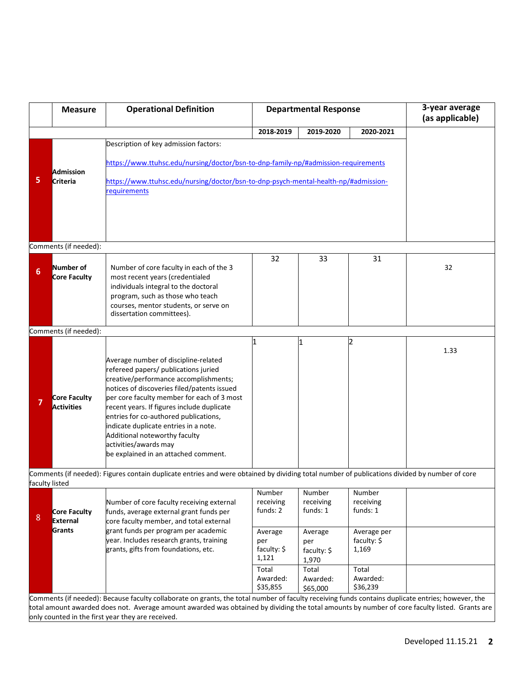|                | <b>Measure</b>        | <b>Operational Definition</b>                                                                                                                     |                      | <b>Departmental Response</b> | 3-year average<br>(as applicable) |      |
|----------------|-----------------------|---------------------------------------------------------------------------------------------------------------------------------------------------|----------------------|------------------------------|-----------------------------------|------|
|                |                       |                                                                                                                                                   | 2018-2019            | 2019-2020                    | 2020-2021                         |      |
|                |                       | Description of key admission factors:                                                                                                             |                      |                              |                                   |      |
|                |                       |                                                                                                                                                   |                      |                              |                                   |      |
|                |                       | https://www.ttuhsc.edu/nursing/doctor/bsn-to-dnp-family-np/#admission-requirements                                                                |                      |                              |                                   |      |
| 5              | <b>Admission</b>      |                                                                                                                                                   |                      |                              |                                   |      |
|                | Criteria              | https://www.ttuhsc.edu/nursing/doctor/bsn-to-dnp-psych-mental-health-np/#admission-<br>requirements                                               |                      |                              |                                   |      |
|                |                       |                                                                                                                                                   |                      |                              |                                   |      |
|                |                       |                                                                                                                                                   |                      |                              |                                   |      |
|                |                       |                                                                                                                                                   |                      |                              |                                   |      |
|                |                       |                                                                                                                                                   |                      |                              |                                   |      |
|                | Comments (if needed): |                                                                                                                                                   |                      |                              |                                   |      |
|                |                       |                                                                                                                                                   | 32                   | 33                           | 31                                |      |
|                | Number of             | Number of core faculty in each of the 3                                                                                                           |                      |                              |                                   | 32   |
| 6              | <b>Core Faculty</b>   | most recent years (credentialed                                                                                                                   |                      |                              |                                   |      |
|                |                       | individuals integral to the doctoral                                                                                                              |                      |                              |                                   |      |
|                |                       | program, such as those who teach                                                                                                                  |                      |                              |                                   |      |
|                |                       | courses, mentor students, or serve on                                                                                                             |                      |                              |                                   |      |
|                |                       | dissertation committees).                                                                                                                         |                      |                              |                                   |      |
|                | Comments (if needed): |                                                                                                                                                   |                      |                              |                                   |      |
|                |                       |                                                                                                                                                   |                      | 1                            |                                   |      |
|                |                       |                                                                                                                                                   |                      |                              |                                   | 1.33 |
|                |                       | Average number of discipline-related                                                                                                              |                      |                              |                                   |      |
|                |                       | refereed papers/ publications juried<br>creative/performance accomplishments;                                                                     |                      |                              |                                   |      |
|                |                       | notices of discoveries filed/patents issued                                                                                                       |                      |                              |                                   |      |
|                | <b>Core Faculty</b>   | per core faculty member for each of 3 most                                                                                                        |                      |                              |                                   |      |
|                | <b>Activities</b>     | recent years. If figures include duplicate                                                                                                        |                      |                              |                                   |      |
|                |                       | entries for co-authored publications,                                                                                                             |                      |                              |                                   |      |
|                |                       | indicate duplicate entries in a note.<br>Additional noteworthy faculty                                                                            |                      |                              |                                   |      |
|                |                       | activities/awards may                                                                                                                             |                      |                              |                                   |      |
|                |                       | be explained in an attached comment.                                                                                                              |                      |                              |                                   |      |
|                |                       |                                                                                                                                                   |                      |                              |                                   |      |
|                |                       | Comments (if needed): Figures contain duplicate entries and were obtained by dividing total number of publications divided by number of core      |                      |                              |                                   |      |
| faculty listed |                       |                                                                                                                                                   |                      |                              |                                   |      |
|                |                       |                                                                                                                                                   | Number<br>receiving  | Number<br>receiving          | Number<br>receiving               |      |
|                | Core Faculty          | Number of core faculty receiving external<br>funds, average external grant funds per                                                              | funds: 2             | funds: 1                     | funds: 1                          |      |
| 8              | External              | core faculty member, and total external                                                                                                           |                      |                              |                                   |      |
|                | Grants                | grant funds per program per academic                                                                                                              | Average              | Average                      | Average per                       |      |
|                |                       | year. Includes research grants, training                                                                                                          | per                  | per                          | faculty: \$                       |      |
|                |                       | grants, gifts from foundations, etc.                                                                                                              | faculty: \$          | faculty: \$                  | 1,169                             |      |
|                |                       |                                                                                                                                                   | 1,121                | 1,970                        |                                   |      |
|                |                       |                                                                                                                                                   | Total                | Total                        | Total                             |      |
|                |                       |                                                                                                                                                   | Awarded:<br>\$35,855 | Awarded:<br>\$65,000         | Awarded:<br>\$36,239              |      |
|                |                       | Comments (if needed): Because faculty collaborate on grants, the total number of faculty receiving funds contains duplicate entries; however, the |                      |                              |                                   |      |
|                |                       | total amount awarded does not. Average amount awarded was obtained by dividing the total amounts by number of core faculty listed. Grants are     |                      |                              |                                   |      |
|                |                       | only counted in the first year they are received.                                                                                                 |                      |                              |                                   |      |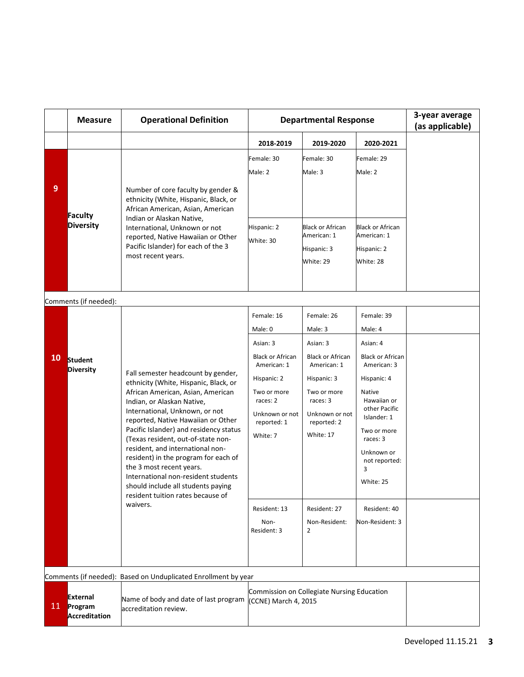|                                                                | <b>Measure</b>                                     | <b>Operational Definition</b>                                                                                                                                                                                                                                                                                                                                                                                                                                                                                                                | <b>Departmental Response</b>                                                                                                                                         |                                                                                                                                                                                   |                                                                                                                                                                                                                                      | 3-year average<br>(as applicable) |  |
|----------------------------------------------------------------|----------------------------------------------------|----------------------------------------------------------------------------------------------------------------------------------------------------------------------------------------------------------------------------------------------------------------------------------------------------------------------------------------------------------------------------------------------------------------------------------------------------------------------------------------------------------------------------------------------|----------------------------------------------------------------------------------------------------------------------------------------------------------------------|-----------------------------------------------------------------------------------------------------------------------------------------------------------------------------------|--------------------------------------------------------------------------------------------------------------------------------------------------------------------------------------------------------------------------------------|-----------------------------------|--|
|                                                                |                                                    |                                                                                                                                                                                                                                                                                                                                                                                                                                                                                                                                              | 2018-2019                                                                                                                                                            | 2019-2020                                                                                                                                                                         | 2020-2021                                                                                                                                                                                                                            |                                   |  |
| 9                                                              |                                                    |                                                                                                                                                                                                                                                                                                                                                                                                                                                                                                                                              | Female: 30                                                                                                                                                           | Female: 30                                                                                                                                                                        | Female: 29                                                                                                                                                                                                                           |                                   |  |
|                                                                | Faculty<br><b>Diversity</b>                        | Number of core faculty by gender &<br>ethnicity (White, Hispanic, Black, or<br>African American, Asian, American<br>Indian or Alaskan Native,<br>International, Unknown or not<br>reported, Native Hawaiian or Other<br>Pacific Islander) for each of the 3<br>most recent years.                                                                                                                                                                                                                                                            | Male: 2                                                                                                                                                              | Male: 3                                                                                                                                                                           | Male: 2                                                                                                                                                                                                                              |                                   |  |
|                                                                |                                                    |                                                                                                                                                                                                                                                                                                                                                                                                                                                                                                                                              | Hispanic: 2<br>White: 30                                                                                                                                             | <b>Black or African</b><br>American: 1<br>Hispanic: 3<br>White: 29                                                                                                                | <b>Black or African</b><br>American: 1<br>Hispanic: 2<br>White: 28                                                                                                                                                                   |                                   |  |
|                                                                | Comments (if needed):                              |                                                                                                                                                                                                                                                                                                                                                                                                                                                                                                                                              |                                                                                                                                                                      |                                                                                                                                                                                   |                                                                                                                                                                                                                                      |                                   |  |
|                                                                |                                                    |                                                                                                                                                                                                                                                                                                                                                                                                                                                                                                                                              | Female: 16                                                                                                                                                           | Female: 26                                                                                                                                                                        | Female: 39                                                                                                                                                                                                                           |                                   |  |
|                                                                |                                                    |                                                                                                                                                                                                                                                                                                                                                                                                                                                                                                                                              | Male: 0                                                                                                                                                              | Male: 3                                                                                                                                                                           | Male: 4                                                                                                                                                                                                                              |                                   |  |
|                                                                |                                                    |                                                                                                                                                                                                                                                                                                                                                                                                                                                                                                                                              | Asian: 3                                                                                                                                                             | Asian: 3                                                                                                                                                                          | Asian: 4                                                                                                                                                                                                                             |                                   |  |
| <b>10</b>                                                      | Student<br><b>Diversity</b>                        | Fall semester headcount by gender,<br>ethnicity (White, Hispanic, Black, or<br>African American, Asian, American<br>Indian, or Alaskan Native,<br>International, Unknown, or not<br>reported, Native Hawaiian or Other<br>Pacific Islander) and residency status<br>(Texas resident, out-of-state non-<br>resident, and international non-<br>resident) in the program for each of<br>the 3 most recent years.<br>International non-resident students<br>should include all students paying<br>resident tuition rates because of<br>waivers. | <b>Black or African</b><br>American: 1<br>Hispanic: 2<br>Two or more<br>races: 2<br>Unknown or not<br>reported: 1<br>White: 7<br>Resident: 13<br>Non-<br>Resident: 3 | <b>Black or African</b><br>American: 1<br>Hispanic: 3<br>Two or more<br>races: 3<br>Unknown or not<br>reported: 2<br>White: 17<br>Resident: 27<br>Non-Resident:<br>$\overline{2}$ | <b>Black or African</b><br>American: 3<br>Hispanic: 4<br><b>Native</b><br>Hawaiian or<br>other Pacific<br>Islander: 1<br>Two or more<br>races: 3<br>Unknown or<br>not reported:<br>3<br>White: 25<br>Resident: 40<br>Non-Resident: 3 |                                   |  |
| Comments (if needed): Based on Unduplicated Enrollment by year |                                                    |                                                                                                                                                                                                                                                                                                                                                                                                                                                                                                                                              |                                                                                                                                                                      |                                                                                                                                                                                   |                                                                                                                                                                                                                                      |                                   |  |
| 11 <sup>1</sup>                                                | <b>External</b><br>Program<br><b>Accreditation</b> | Name of body and date of last program<br>accreditation review.                                                                                                                                                                                                                                                                                                                                                                                                                                                                               | Commission on Collegiate Nursing Education<br>(CCNE) March 4, 2015                                                                                                   |                                                                                                                                                                                   |                                                                                                                                                                                                                                      |                                   |  |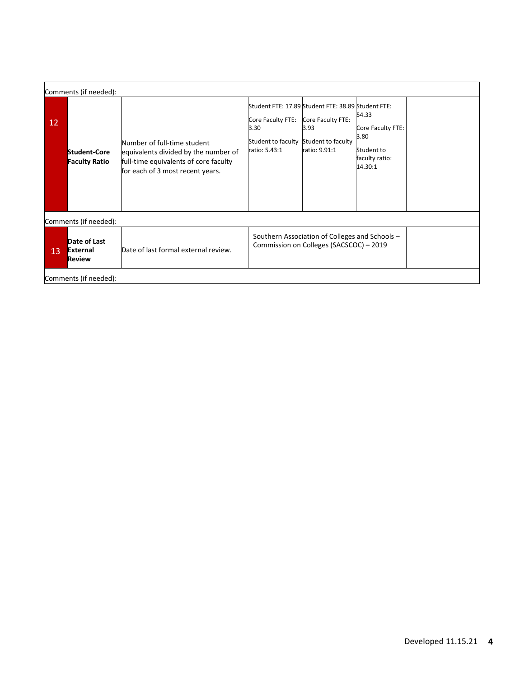|                       | Comments (if needed):                     |                                                                                                                                                  |                                                                                                                        |                                                                  |                                                                               |  |  |
|-----------------------|-------------------------------------------|--------------------------------------------------------------------------------------------------------------------------------------------------|------------------------------------------------------------------------------------------------------------------------|------------------------------------------------------------------|-------------------------------------------------------------------------------|--|--|
| 12 <sup>°</sup>       | Student-Core<br><b>Faculty Ratio</b>      | Number of full-time student<br>equivalents divided by the number of<br>full-time equivalents of core faculty<br>for each of 3 most recent years. | Student FTE: 17.89 Student FTE: 38.89 Student FTE:<br>Core Faculty FTE:<br>3.30<br>Student to faculty<br>ratio: 5.43:1 | Core Faculty FTE:<br>3.93<br>Student to faculty<br>ratio: 9.91:1 | 54.33<br>Core Faculty FTE:<br>3.80<br>Student to<br>faculty ratio:<br>14.30:1 |  |  |
|                       | Comments (if needed):                     |                                                                                                                                                  |                                                                                                                        |                                                                  |                                                                               |  |  |
| 13                    | Date of Last<br>External<br><b>Review</b> | Date of last formal external review.                                                                                                             | Southern Association of Colleges and Schools -<br>Commission on Colleges (SACSCOC) - 2019                              |                                                                  |                                                                               |  |  |
| Comments (if needed): |                                           |                                                                                                                                                  |                                                                                                                        |                                                                  |                                                                               |  |  |